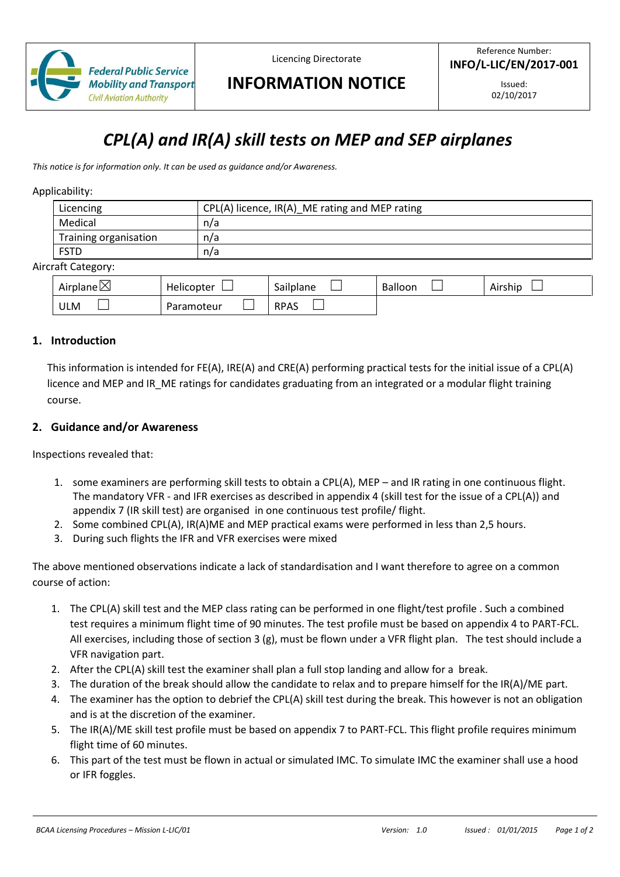

Licencing Directorate

Reference Number: **INFO/L-LIC/EN/2017-001**

# **INFORMATION NOTICE**

Issued: 02/10/2017

# *CPL(A) and IR(A) skill tests on MEP and SEP airplanes*

*This notice is for information only. It can be used as guidance and/or Awareness.*

#### Applicability:

| Licencing             | CPL(A) licence, IR(A)_ME rating and MEP rating |  |  |  |
|-----------------------|------------------------------------------------|--|--|--|
| Medical               | n/a                                            |  |  |  |
| Training organisation | n/a                                            |  |  |  |
| <b>FSTD</b>           | n/a                                            |  |  |  |
| rraft Catagonu:       |                                                |  |  |  |

#### Aircraft Category:

| Airplane $\boxtimes$ | Helicopter | .<br>$\overline{\phantom{a}}$<br>Sailplane | Balloon | . .<br>Airship |
|----------------------|------------|--------------------------------------------|---------|----------------|
| <b>ULM</b>           | Paramoteur | <b>RPAS</b>                                |         |                |

#### **1. Introduction**

This information is intended for FE(A), IRE(A) and CRE(A) performing practical tests for the initial issue of a CPL(A) licence and MEP and IR ME ratings for candidates graduating from an integrated or a modular flight training course.

#### **2. Guidance and/or Awareness**

Inspections revealed that:

- 1. some examiners are performing skill tests to obtain a CPL(A), MEP and IR rating in one continuous flight. The mandatory VFR - and IFR exercises as described in appendix 4 (skill test for the issue of a CPL(A)) and appendix 7 (IR skill test) are organised in one continuous test profile/ flight.
- 2. Some combined CPL(A), IR(A)ME and MEP practical exams were performed in less than 2,5 hours.
- 3. During such flights the IFR and VFR exercises were mixed

The above mentioned observations indicate a lack of standardisation and I want therefore to agree on a common course of action:

- 1. The CPL(A) skill test and the MEP class rating can be performed in one flight/test profile . Such a combined test requires a minimum flight time of 90 minutes. The test profile must be based on appendix 4 to PART-FCL. All exercises, including those of section 3 (g), must be flown under a VFR flight plan. The test should include a VFR navigation part.
- 2. After the CPL(A) skill test the examiner shall plan a full stop landing and allow for a break.
- 3. The duration of the break should allow the candidate to relax and to prepare himself for the IR(A)/ME part.
- 4. The examiner has the option to debrief the CPL(A) skill test during the break. This however is not an obligation and is at the discretion of the examiner.
- 5. The IR(A)/ME skill test profile must be based on appendix 7 to PART-FCL. This flight profile requires minimum flight time of 60 minutes.
- 6. This part of the test must be flown in actual or simulated IMC. To simulate IMC the examiner shall use a hood or IFR foggles.